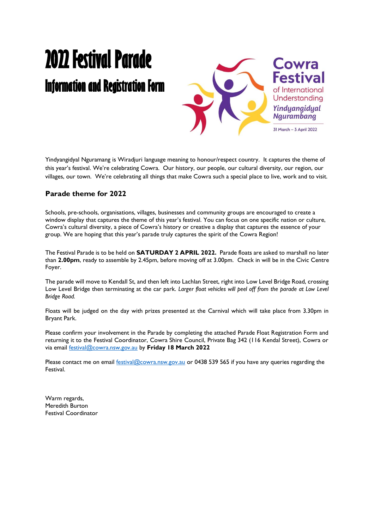# **2022 Festival Parade Information and Registration Form**



Yindyangidyal Nguramang is Wiradjuri language meaning to honour/respect country. It captures the theme of this year's festival. We're celebrating Cowra. Our history, our people, our cultural diversity, our region, our villages, our town. We're celebrating all things that make Cowra such a special place to live, work and to visit.

### **Parade theme for 2022**

Schools, pre-schools, organisations, villages, businesses and community groups are encouraged to create a window display that captures the theme of this year's festival. You can focus on one specific nation or culture, Cowra's cultural diversity, a piece of Cowra's history or creative a display that captures the essence of your group. We are hoping that this year's parade truly captures the spirit of the Cowra Region!

The Festival Parade is to be held on **SATURDAY 2 APRIL 2022.** Parade floats are asked to marshall no later than **2.00pm**, ready to assemble by 2.45pm, before moving off at 3.00pm. Check in will be in the Civic Centre Foyer.

The parade will move to Kendall St, and then left into Lachlan Street, right into Low Level Bridge Road, crossing Low Level Bridge then terminating at the car park. *Larger float vehicles will peel off from the parade at Low Level Bridge Road.*

Floats will be judged on the day with prizes presented at the Carnival which will take place from 3.30pm in Bryant Park.

Please confirm your involvement in the Parade by completing the attached Parade Float Registration Form and returning it to the Festival Coordinator, Cowra Shire Council, Private Bag 342 (116 Kendal Street), Cowra or via email [festival@cowra.nsw.gov.au](mailto:festival@cowra.nsw.gov.au) by **Friday 18 March 2022**

Please contact me on email [festival@cowra.nsw.gov.au](mailto:festival@cowra.nsw.gov.au) or 0438 539 565 if you have any queries regarding the Festival.

Warm regards, Meredith Burton Festival Coordinator